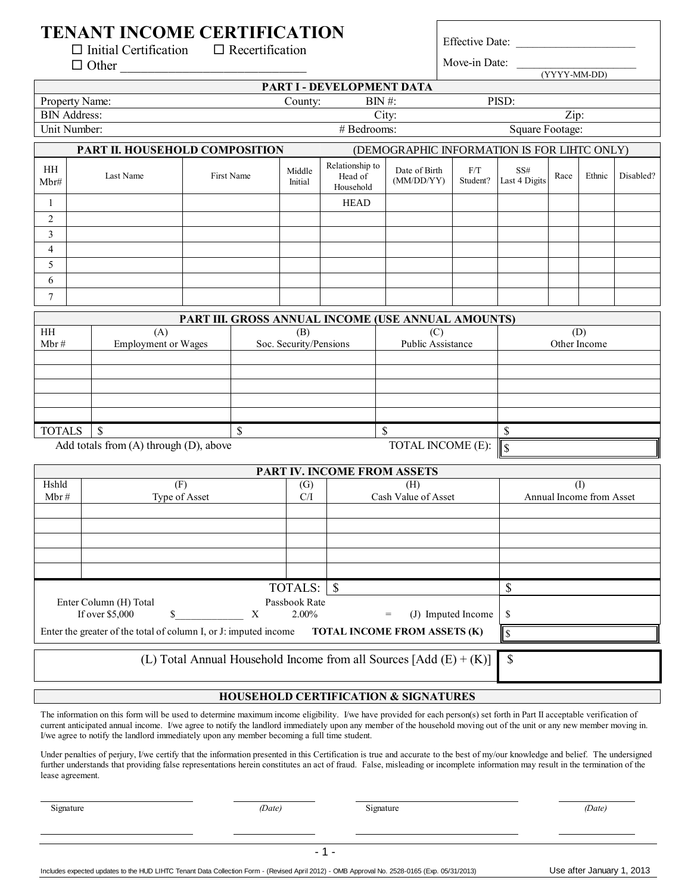# **TENANT INCOME CERTIFICATION**<br>  $\Box$  Initial Certification<br>  $\Box$  Recertification

 $\Box$  Initial Certification

Effective Date:

| $\Box$ Other                                                                                                                                                                                                                                                                                                                                                                                                                                     |                                                                  |                                                    |                        |                                         | Move-in Date:<br>$(YYYY-MM-DD)$             |                       |                          |              |        |           |
|--------------------------------------------------------------------------------------------------------------------------------------------------------------------------------------------------------------------------------------------------------------------------------------------------------------------------------------------------------------------------------------------------------------------------------------------------|------------------------------------------------------------------|----------------------------------------------------|------------------------|-----------------------------------------|---------------------------------------------|-----------------------|--------------------------|--------------|--------|-----------|
| PART I - DEVELOPMENT DATA                                                                                                                                                                                                                                                                                                                                                                                                                        |                                                                  |                                                    |                        |                                         |                                             |                       |                          |              |        |           |
| PISD:<br>Property Name:<br>$BIN$ #:<br>County:                                                                                                                                                                                                                                                                                                                                                                                                   |                                                                  |                                                    |                        |                                         |                                             |                       |                          |              |        |           |
| <b>BIN Address:</b>                                                                                                                                                                                                                                                                                                                                                                                                                              |                                                                  |                                                    |                        | City:<br>Zip:<br>Square Footage:        |                                             |                       |                          |              |        |           |
| Unit Number:                                                                                                                                                                                                                                                                                                                                                                                                                                     |                                                                  |                                                    |                        | # Bedrooms:                             |                                             |                       |                          |              |        |           |
|                                                                                                                                                                                                                                                                                                                                                                                                                                                  | PART II. HOUSEHOLD COMPOSITION                                   |                                                    |                        |                                         | (DEMOGRAPHIC INFORMATION IS FOR LIHTC ONLY) |                       |                          |              |        |           |
| HH<br>Mbr#                                                                                                                                                                                                                                                                                                                                                                                                                                       | Last Name                                                        | First Name                                         | Middle<br>Initial      | Relationship to<br>Head of<br>Household | Date of Birth<br>(MM/DD/YY)                 | $\rm F/T$<br>Student? | SS#<br>Last 4 Digits     | Race         | Ethnic | Disabled? |
| 1                                                                                                                                                                                                                                                                                                                                                                                                                                                |                                                                  |                                                    |                        | <b>HEAD</b>                             |                                             |                       |                          |              |        |           |
| 2                                                                                                                                                                                                                                                                                                                                                                                                                                                |                                                                  |                                                    |                        |                                         |                                             |                       |                          |              |        |           |
| 3                                                                                                                                                                                                                                                                                                                                                                                                                                                |                                                                  |                                                    |                        |                                         |                                             |                       |                          |              |        |           |
| 4                                                                                                                                                                                                                                                                                                                                                                                                                                                |                                                                  |                                                    |                        |                                         |                                             |                       |                          |              |        |           |
| 5<br>6                                                                                                                                                                                                                                                                                                                                                                                                                                           |                                                                  |                                                    |                        |                                         |                                             |                       |                          |              |        |           |
| $\overline{7}$                                                                                                                                                                                                                                                                                                                                                                                                                                   |                                                                  |                                                    |                        |                                         |                                             |                       |                          |              |        |           |
|                                                                                                                                                                                                                                                                                                                                                                                                                                                  |                                                                  |                                                    |                        |                                         |                                             |                       |                          |              |        |           |
| HH                                                                                                                                                                                                                                                                                                                                                                                                                                               | (A)                                                              | PART III. GROSS ANNUAL INCOME (USE ANNUAL AMOUNTS) | (B)                    |                                         | (C)                                         |                       |                          |              | (D)    |           |
| Mbr#                                                                                                                                                                                                                                                                                                                                                                                                                                             | <b>Employment or Wages</b>                                       |                                                    | Soc. Security/Pensions |                                         | <b>Public Assistance</b>                    |                       |                          | Other Income |        |           |
|                                                                                                                                                                                                                                                                                                                                                                                                                                                  |                                                                  |                                                    |                        |                                         |                                             |                       |                          |              |        |           |
|                                                                                                                                                                                                                                                                                                                                                                                                                                                  |                                                                  |                                                    |                        |                                         |                                             |                       |                          |              |        |           |
|                                                                                                                                                                                                                                                                                                                                                                                                                                                  |                                                                  |                                                    |                        |                                         |                                             |                       |                          |              |        |           |
|                                                                                                                                                                                                                                                                                                                                                                                                                                                  |                                                                  |                                                    |                        |                                         |                                             |                       |                          |              |        |           |
| <b>TOTALS</b>                                                                                                                                                                                                                                                                                                                                                                                                                                    | <sup>\$</sup>                                                    | \$                                                 |                        |                                         | \$                                          |                       | \$                       |              |        |           |
|                                                                                                                                                                                                                                                                                                                                                                                                                                                  | Add totals from (A) through (D), above                           |                                                    |                        |                                         | TOTAL INCOME (E):                           |                       | $\sqrt{S}$               |              |        |           |
|                                                                                                                                                                                                                                                                                                                                                                                                                                                  |                                                                  |                                                    |                        | PART IV. INCOME FROM ASSETS             |                                             |                       |                          |              |        |           |
| Hshld                                                                                                                                                                                                                                                                                                                                                                                                                                            | (F)                                                              |                                                    | (G)                    |                                         | (H)                                         |                       |                          |              | (1)    |           |
| Mbr#                                                                                                                                                                                                                                                                                                                                                                                                                                             | Type of Asset                                                    |                                                    | C/I                    | Cash Value of Asset                     |                                             |                       | Annual Income from Asset |              |        |           |
|                                                                                                                                                                                                                                                                                                                                                                                                                                                  |                                                                  |                                                    |                        |                                         |                                             |                       |                          |              |        |           |
|                                                                                                                                                                                                                                                                                                                                                                                                                                                  |                                                                  |                                                    |                        |                                         |                                             |                       |                          |              |        |           |
|                                                                                                                                                                                                                                                                                                                                                                                                                                                  |                                                                  |                                                    |                        |                                         |                                             |                       |                          |              |        |           |
|                                                                                                                                                                                                                                                                                                                                                                                                                                                  |                                                                  |                                                    |                        |                                         |                                             |                       |                          |              |        |           |
|                                                                                                                                                                                                                                                                                                                                                                                                                                                  |                                                                  |                                                    | TOTALS:                | <sup>\$</sup>                           |                                             |                       | \$                       |              |        |           |
|                                                                                                                                                                                                                                                                                                                                                                                                                                                  | Enter Column (H) Total                                           |                                                    | Passbook Rate          |                                         |                                             |                       |                          |              |        |           |
|                                                                                                                                                                                                                                                                                                                                                                                                                                                  | If over \$5,000<br>\$                                            | X                                                  | 2.00%                  | (J) Imputed Income<br>$=$               |                                             | \$                    |                          |              |        |           |
|                                                                                                                                                                                                                                                                                                                                                                                                                                                  | Enter the greater of the total of column I, or J: imputed income |                                                    |                        | TOTAL INCOME FROM ASSETS (K)            |                                             |                       | \$                       |              |        |           |
| (L) Total Annual Household Income from all Sources $[Add (E) + (K)]$<br>\$                                                                                                                                                                                                                                                                                                                                                                       |                                                                  |                                                    |                        |                                         |                                             |                       |                          |              |        |           |
| <b>HOUSEHOLD CERTIFICATION &amp; SIGNATURES</b>                                                                                                                                                                                                                                                                                                                                                                                                  |                                                                  |                                                    |                        |                                         |                                             |                       |                          |              |        |           |
|                                                                                                                                                                                                                                                                                                                                                                                                                                                  |                                                                  |                                                    |                        |                                         |                                             |                       |                          |              |        |           |
| The information on this form will be used to determine maximum income eligibility. I/we have provided for each person(s) set forth in Part II acceptable verification of<br>current anticipated annual income. I/we agree to notify the landlord immediately upon any member of the household moving out of the unit or any new member moving in.<br>I/we agree to notify the landlord immediately upon any member becoming a full time student. |                                                                  |                                                    |                        |                                         |                                             |                       |                          |              |        |           |
| Under penalties of perjury, I/we certify that the information presented in this Certification is true and accurate to the best of my/our knowledge and belief. The undersigned<br>further understands that providing false representations herein constitutes an act of fraud. False, misleading or incomplete information may result in the termination of the<br>lease agreement.                                                              |                                                                  |                                                    |                        |                                         |                                             |                       |                          |              |        |           |

Signature *(Date)* Signature *(Date)*

Includes expected updates to the HUD LIHTC Tenant Data Collection Form - (Revised April 2012) - OMB Approval No. 2528-0165 (Exp. 05/31/2013) Use after January 1, 2013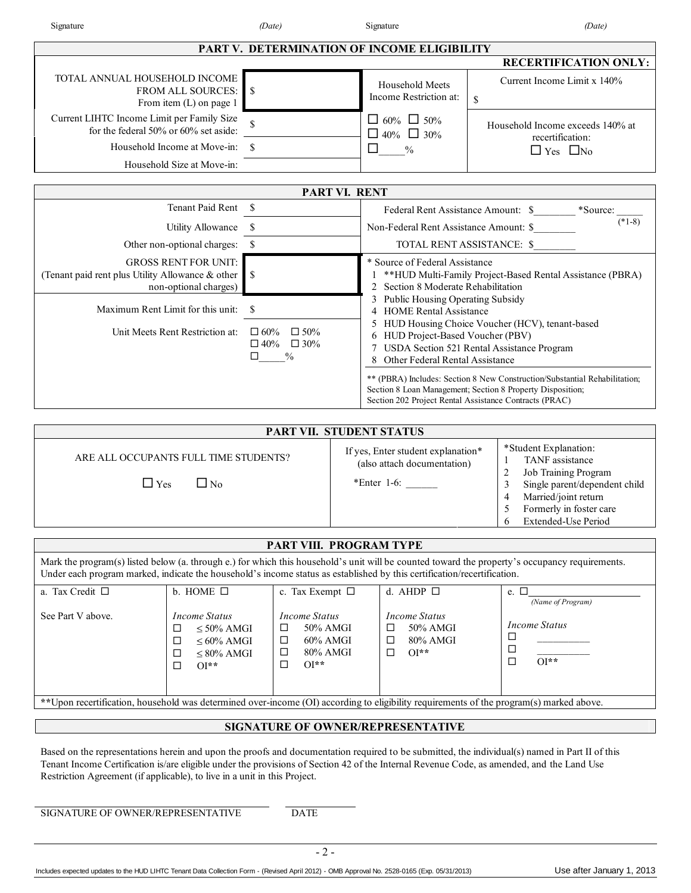| Date) |  |
|-------|--|
|       |  |

| Signature                                                                                                                                                                                                                                                                                                                                                                                                     |                                                                                             | (Date)                                                                 |               | Signature                                                                                                   | (Date)                                                                                                                                                                                                                                                |  |
|---------------------------------------------------------------------------------------------------------------------------------------------------------------------------------------------------------------------------------------------------------------------------------------------------------------------------------------------------------------------------------------------------------------|---------------------------------------------------------------------------------------------|------------------------------------------------------------------------|---------------|-------------------------------------------------------------------------------------------------------------|-------------------------------------------------------------------------------------------------------------------------------------------------------------------------------------------------------------------------------------------------------|--|
|                                                                                                                                                                                                                                                                                                                                                                                                               |                                                                                             |                                                                        |               | PART V. DETERMINATION OF INCOME ELIGIBILITY                                                                 |                                                                                                                                                                                                                                                       |  |
|                                                                                                                                                                                                                                                                                                                                                                                                               |                                                                                             |                                                                        |               |                                                                                                             | <b>RECERTIFICATION ONLY:</b>                                                                                                                                                                                                                          |  |
| TOTAL ANNUAL HOUSEHOLD INCOME                                                                                                                                                                                                                                                                                                                                                                                 | FROM ALL SOURCES:<br>-\$<br>From item $(L)$ on page 1                                       |                                                                        |               | Household Meets<br>Income Restriction at:                                                                   | Current Income Limit x 140%<br>\$                                                                                                                                                                                                                     |  |
| Current LIHTC Income Limit per Family Size                                                                                                                                                                                                                                                                                                                                                                    | for the federal 50% or 60% set aside:                                                       |                                                                        |               | $\Box$ 60% $\Box$ 50%<br>$\Box$ 40% $\Box$ 30%                                                              | Household Income exceeds 140% at<br>recertification:                                                                                                                                                                                                  |  |
|                                                                                                                                                                                                                                                                                                                                                                                                               | Household Income at Move-in:<br>-S<br>Household Size at Move-in:                            |                                                                        | $\Box$        | $\frac{0}{0}$                                                                                               | $\Box$ Yes $\Box$ No                                                                                                                                                                                                                                  |  |
|                                                                                                                                                                                                                                                                                                                                                                                                               |                                                                                             |                                                                        |               |                                                                                                             |                                                                                                                                                                                                                                                       |  |
|                                                                                                                                                                                                                                                                                                                                                                                                               |                                                                                             |                                                                        | PART VI. RENT |                                                                                                             |                                                                                                                                                                                                                                                       |  |
|                                                                                                                                                                                                                                                                                                                                                                                                               | Tenant Paid Rent \$                                                                         |                                                                        |               | Federal Rent Assistance Amount: \$ *Source:<br>$(*1-8)$                                                     |                                                                                                                                                                                                                                                       |  |
|                                                                                                                                                                                                                                                                                                                                                                                                               | Utility Allowance<br>- S                                                                    |                                                                        |               | Non-Federal Rent Assistance Amount: \$<br>TOTAL RENT ASSISTANCE: \$                                         |                                                                                                                                                                                                                                                       |  |
| Other non-optional charges:<br>-S<br><b>GROSS RENT FOR UNIT:</b><br>(Tenant paid rent plus Utility Allowance & other<br><sup>\$</sup><br>non-optional charges)                                                                                                                                                                                                                                                |                                                                                             |                                                                        |               | * Source of Federal Assistance<br>2 Section 8 Moderate Rehabilitation<br>3 Public Housing Operating Subsidy | **HUD Multi-Family Project-Based Rental Assistance (PBRA)                                                                                                                                                                                             |  |
| Maximum Rent Limit for this unit:<br>-S<br>$\Box 60\%$<br>Unit Meets Rent Restriction at:<br>$\Box$ 50%<br>$\Box 40\% \quad \Box 30\%$<br>$\frac{0}{0}$<br>□                                                                                                                                                                                                                                                  |                                                                                             |                                                                        |               | 4 HOME Rental Assistance<br>6 HUD Project-Based Voucher (PBV)<br>8 Other Federal Rental Assistance          | 5 HUD Housing Choice Voucher (HCV), tenant-based<br>7 USDA Section 521 Rental Assistance Program                                                                                                                                                      |  |
|                                                                                                                                                                                                                                                                                                                                                                                                               |                                                                                             |                                                                        |               |                                                                                                             | ** (PBRA) Includes: Section 8 New Construction/Substantial Rehabilitation;<br>Section 8 Loan Management; Section 8 Property Disposition;<br>Section 202 Project Rental Assistance Contracts (PRAC)                                                    |  |
|                                                                                                                                                                                                                                                                                                                                                                                                               |                                                                                             | PART VII. STUDENT STATUS                                               |               |                                                                                                             |                                                                                                                                                                                                                                                       |  |
| ARE ALL OCCUPANTS FULL TIME STUDENTS?<br>$\Box$ No<br>$\Box$ Yes                                                                                                                                                                                                                                                                                                                                              |                                                                                             |                                                                        |               | If yes, Enter student explanation*<br>(also attach documentation)<br>$*$ Enter 1-6:                         | *Student Explanation:<br>TANF assistance<br>$\mathbf{1}$<br>$\overline{c}$<br>Job Training Program<br>3<br>Single parent/dependent child<br>Married/joint return<br>$\overline{4}$<br>5<br>Formerly in foster care<br>6<br><b>Extended-Use Period</b> |  |
|                                                                                                                                                                                                                                                                                                                                                                                                               |                                                                                             | PART VIII. PROGRAM TYPE                                                |               |                                                                                                             |                                                                                                                                                                                                                                                       |  |
| Under each program marked, indicate the household's income status as established by this certification/recertification.                                                                                                                                                                                                                                                                                       |                                                                                             |                                                                        |               |                                                                                                             | Mark the program(s) listed below (a. through e.) for which this household's unit will be counted toward the property's occupancy requirements.                                                                                                        |  |
| a. Tax Credit □<br>See Part V above.                                                                                                                                                                                                                                                                                                                                                                          | b. HOME $\Box$<br><b>Income Status</b>                                                      | c. Tax Exempt $\Box$<br><b>Income Status</b>                           |               | d. AHDP $\Box$<br><b>Income Status</b>                                                                      | e. $\Box$<br>(Name of Program)<br><b>Income Status</b>                                                                                                                                                                                                |  |
|                                                                                                                                                                                                                                                                                                                                                                                                               | $\leq 50\%$ AMGI<br>□<br>$\leq 60\%$ AMGI<br>$\Box$<br>$\leq 80\%$ AMGI<br>□<br>$OI^*$<br>□ | 50% AMGI<br>□<br>$60\%$ AMGI<br>◻<br>80% AMGI<br>□<br>$OI^*$<br>$\Box$ |               | 50% AMGI<br>□<br>80% AMGI<br>$\Box$<br>$OI^*$<br>□                                                          | □<br>$\Box$<br>$OI^*$ *<br>□                                                                                                                                                                                                                          |  |
|                                                                                                                                                                                                                                                                                                                                                                                                               |                                                                                             |                                                                        |               |                                                                                                             | ** Upon recertification, household was determined over-income (OI) according to eligibility requirements of the program(s) marked above.                                                                                                              |  |
|                                                                                                                                                                                                                                                                                                                                                                                                               |                                                                                             |                                                                        |               |                                                                                                             |                                                                                                                                                                                                                                                       |  |
| SIGNATURE OF OWNER/REPRESENTATIVE<br>Based on the representations herein and upon the proofs and documentation required to be submitted, the individual(s) named in Part II of this<br>Tenant Income Certification is/are eligible under the provisions of Section 42 of the Internal Revenue Code, as amended, and the Land Use<br>Restriction Agreement (if applicable), to live in a unit in this Project. |                                                                                             |                                                                        |               |                                                                                                             |                                                                                                                                                                                                                                                       |  |
| SIGNATURE OF OWNER/REPRESENTATIVE<br>$\mathop{\mathrm{DATE}}$                                                                                                                                                                                                                                                                                                                                                 |                                                                                             |                                                                        |               |                                                                                                             |                                                                                                                                                                                                                                                       |  |
|                                                                                                                                                                                                                                                                                                                                                                                                               |                                                                                             | $-2-$                                                                  |               |                                                                                                             |                                                                                                                                                                                                                                                       |  |

Includes expected updates to the HUD LIHTC Tenant Data Collection Form - (Revised April 2012) - OMB Approval No. 2528-0165 (Exp. 05/31/2013) Use after January 1, 2013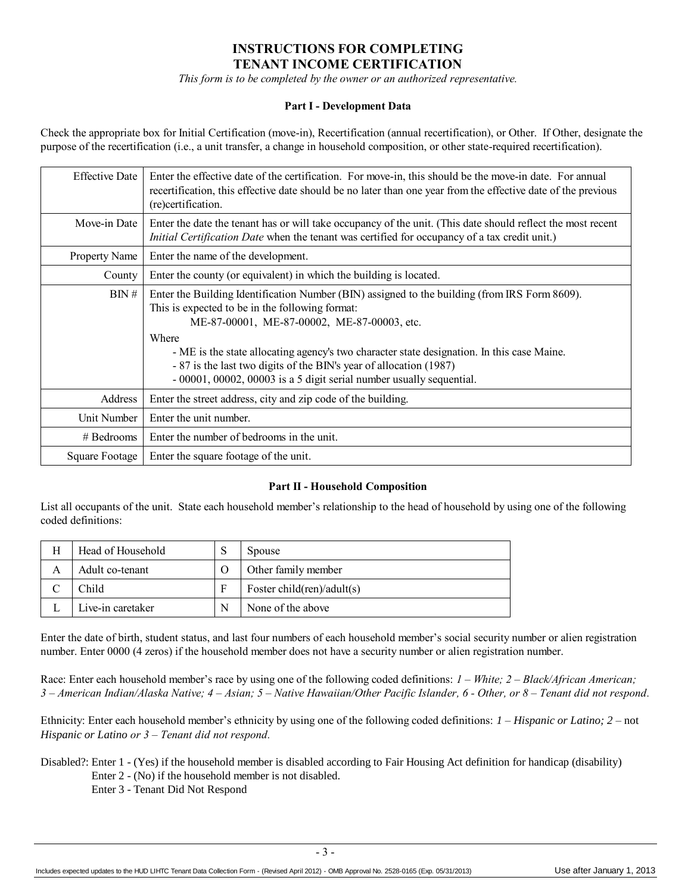## **INSTRUCTIONS FOR COMPLETING TENANT INCOME CERTIFICATION**

*This form is to be completed by the owner or an authorized representative.*

#### **Part I - Development Data**

Check the appropriate box for Initial Certification (move-in), Recertification (annual recertification), or Other. If Other, designate the purpose of the recertification (i.e., a unit transfer, a change in household composition, or other state-required recertification).

| <b>Effective Date</b> | Enter the effective date of the certification. For move-in, this should be the move-in date. For annual<br>recertification, this effective date should be no later than one year from the effective date of the previous<br>(re)certification.                                                                                                                                                                                                       |
|-----------------------|------------------------------------------------------------------------------------------------------------------------------------------------------------------------------------------------------------------------------------------------------------------------------------------------------------------------------------------------------------------------------------------------------------------------------------------------------|
| Move-in Date          | Enter the date the tenant has or will take occupancy of the unit. (This date should reflect the most recent<br><i>Initial Certification Date</i> when the tenant was certified for occupancy of a tax credit unit.)                                                                                                                                                                                                                                  |
| <b>Property Name</b>  | Enter the name of the development.                                                                                                                                                                                                                                                                                                                                                                                                                   |
| County                | Enter the county (or equivalent) in which the building is located.                                                                                                                                                                                                                                                                                                                                                                                   |
| BN#                   | Enter the Building Identification Number (BIN) assigned to the building (from IRS Form 8609).<br>This is expected to be in the following format:<br>ME-87-00001, ME-87-00002, ME-87-00003, etc.<br>Where<br>- ME is the state allocating agency's two character state designation. In this case Maine.<br>- 87 is the last two digits of the BIN's year of allocation (1987)<br>- 00001, 00002, 00003 is a 5 digit serial number usually sequential. |
| Address               | Enter the street address, city and zip code of the building.                                                                                                                                                                                                                                                                                                                                                                                         |
| Unit Number           | Enter the unit number.                                                                                                                                                                                                                                                                                                                                                                                                                               |
| $#$ Bedrooms          | Enter the number of bedrooms in the unit.                                                                                                                                                                                                                                                                                                                                                                                                            |
| Square Footage        | Enter the square footage of the unit.                                                                                                                                                                                                                                                                                                                                                                                                                |

#### **Part II - Household Composition**

List all occupants of the unit. State each household member's relationship to the head of household by using one of the following coded definitions:

| Head of Household | Spouse                     |
|-------------------|----------------------------|
| Adult co-tenant   | Other family member        |
| Child             | Foster child(ren)/adult(s) |
| Live-in caretaker | None of the above          |

Enter the date of birth, student status, and last four numbers of each household member's social security number or alien registration number. Enter 0000 (4 zeros) if the household member does not have a security number or alien registration number.

Race: Enter each household member's race by using one of the following coded definitions: *1 – White; 2 – Black/African American; 3 – American Indian/Alaska Native; 4 – Asian; 5 – Native Hawaiian/Other Pacific Islander, 6 - Other, or 8 – Tenant did not respond.*

Ethnicity: Enter each household member's ethnicity by using one of the following coded definitions: *1 – Hispanic or Latino; 2 –* not *Hispanic or Latino or 3 – Tenant did not respond.*

Disabled?: Enter 1 - (Yes) if the household member is disabled according to Fair Housing Act definition for handicap (disability) Enter 2 - (No) if the household member is not disabled.

Enter 3 - Tenant Did Not Respond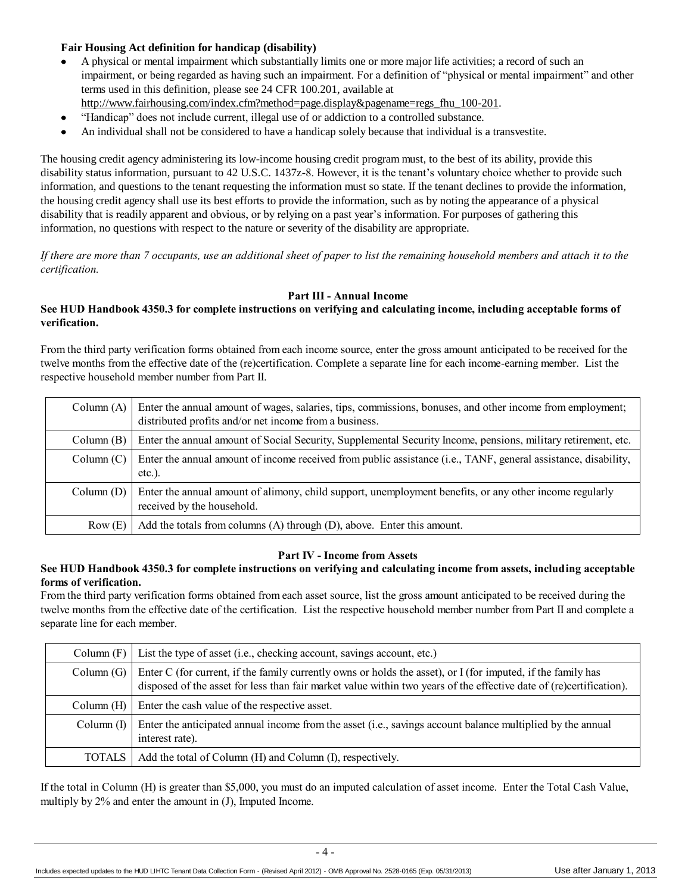### **Fair Housing Act definition for handicap (disability)**

- A physical or mental impairment which substantially limits one or more major life activities; a record of such an impairment, or being regarded as having such an impairment. For a definition of "physical or mental impairment" and other terms used in this definition, please see 24 CFR 100.201, available at
- [http://www.fairhousing.com/index.cfm?method=page.display&pagename=regs\\_fhu\\_100-201.](http://www.fairhousing.com/index.cfm?method=page.display&pagename=regs_fhu_100-201)
- $\bullet$ "Handicap" does not include current, illegal use of or addiction to a controlled substance.
- An individual shall not be considered to have a handicap solely because that individual is a transvestite.

The housing credit agency administering its low-income housing credit program must, to the best of its ability, provide this disability status information, pursuant to 42 U.S.C. 1437z-8. However, it is the tenant's voluntary choice whether to provide such information, and questions to the tenant requesting the information must so state. If the tenant declines to provide the information, the housing credit agency shall use its best efforts to provide the information, such as by noting the appearance of a physical disability that is readily apparent and obvious, or by relying on a past year's information. For purposes of gathering this information, no questions with respect to the nature or severity of the disability are appropriate.

*If there are more than 7 occupants, use an additional sheet of paper to list the remaining household members and attach it to the certification.*

#### **Part III - Annual Income**

#### **See HUD Handbook 4350.3 for complete instructions on verifying and calculating income, including acceptable forms of verification.**

From the third party verification forms obtained from each income source, enter the gross amount anticipated to be received for the twelve months from the effective date of the (re)certification. Complete a separate line for each income-earning member. List the respective household member number from Part II.

|            | Column (A) Enter the annual amount of wages, salaries, tips, commissions, bonuses, and other income from employment;<br>distributed profits and/or net income from a business. |
|------------|--------------------------------------------------------------------------------------------------------------------------------------------------------------------------------|
| Column(B)  | Enter the annual amount of Social Security, Supplemental Security Income, pensions, military retirement, etc.                                                                  |
| Column (C) | Enter the annual amount of income received from public assistance (i.e., TANF, general assistance, disability,<br>$etc.$ ).                                                    |
| Column(D)  | Enter the annual amount of alimony, child support, unemployment benefits, or any other income regularly<br>received by the household.                                          |
| Row(E)     | Add the totals from columns $(A)$ through $(D)$ , above. Enter this amount.                                                                                                    |

#### **Part IV - Income from Assets**

#### **See HUD Handbook 4350.3 for complete instructions on verifying and calculating income from assets, including acceptable forms of verification.**

From the third party verification forms obtained from each asset source, list the gross amount anticipated to be received during the twelve months from the effective date of the certification. List the respective household member number from Part II and complete a separate line for each member.

| Column(F)     | List the type of asset (i.e., checking account, savings account, etc.)                                                                                                                                                              |
|---------------|-------------------------------------------------------------------------------------------------------------------------------------------------------------------------------------------------------------------------------------|
| Column(G)     | Enter C (for current, if the family currently owns or holds the asset), or I (for imputed, if the family has<br>disposed of the asset for less than fair market value within two years of the effective date of (re)certification). |
| Column $(H)$  | Enter the cash value of the respective asset.                                                                                                                                                                                       |
| Column(I)     | Enter the anticipated annual income from the asset (i.e., savings account balance multiplied by the annual<br>interest rate).                                                                                                       |
| <b>TOTALS</b> | Add the total of Column (H) and Column (I), respectively.                                                                                                                                                                           |

If the total in Column (H) is greater than \$5,000, you must do an imputed calculation of asset income. Enter the Total Cash Value, multiply by 2% and enter the amount in (J), Imputed Income.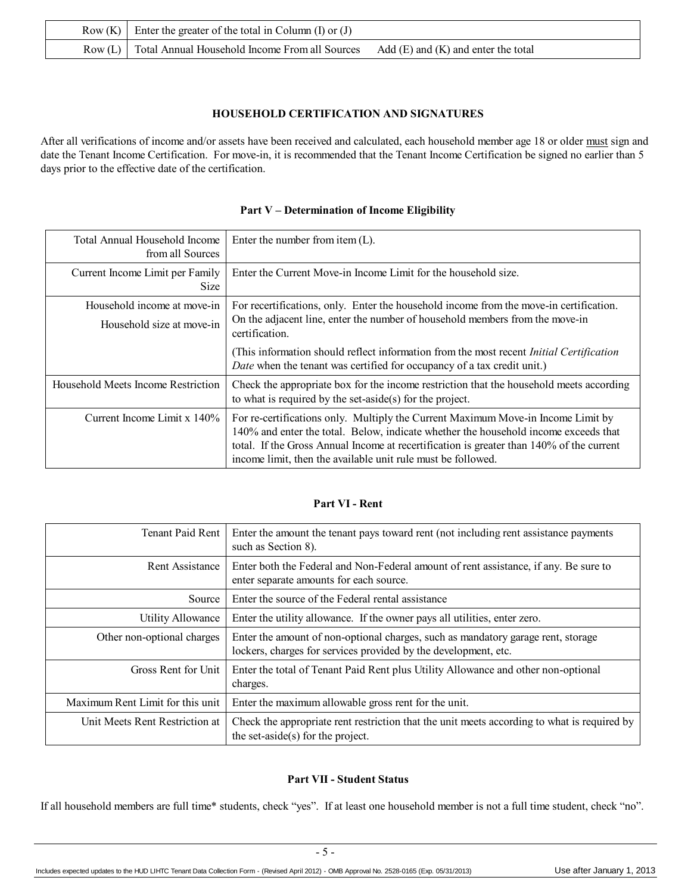| Row (K) Enter the greater of the total in Column (I) or (J) |                                         |  |
|-------------------------------------------------------------|-----------------------------------------|--|
| Row (L) Total Annual Household Income From all Sources      | Add $(E)$ and $(K)$ and enter the total |  |

#### **HOUSEHOLD CERTIFICATION AND SIGNATURES**

After all verifications of income and/or assets have been received and calculated, each household member age 18 or older must sign and date the Tenant Income Certification. For move-in, it is recommended that the Tenant Income Certification be signed no earlier than 5 days prior to the effective date of the certification.

## **Part V – Determination of Income Eligibility**

| Total Annual Household Income<br>from all Sources        | Enter the number from item $(L)$ .                                                                                                                                                                                                                                                                                                  |
|----------------------------------------------------------|-------------------------------------------------------------------------------------------------------------------------------------------------------------------------------------------------------------------------------------------------------------------------------------------------------------------------------------|
| Current Income Limit per Family<br><b>Size</b>           | Enter the Current Move-in Income Limit for the household size.                                                                                                                                                                                                                                                                      |
| Household income at move-in<br>Household size at move-in | For recertifications, only. Enter the household income from the move-in certification.<br>On the adjacent line, enter the number of household members from the move-in<br>certification.                                                                                                                                            |
|                                                          | (This information should reflect information from the most recent <i>Initial Certification</i><br>Date when the tenant was certified for occupancy of a tax credit unit.)                                                                                                                                                           |
| Household Meets Income Restriction                       | Check the appropriate box for the income restriction that the household meets according<br>to what is required by the set-aside(s) for the project.                                                                                                                                                                                 |
| Current Income Limit $x$ 140%                            | For re-certifications only. Multiply the Current Maximum Move-in Income Limit by<br>140% and enter the total. Below, indicate whether the household income exceeds that<br>total. If the Gross Annual Income at recertification is greater than 140% of the current<br>income limit, then the available unit rule must be followed. |

## **Part VI - Rent**

| <b>Tenant Paid Rent</b>          | Enter the amount the tenant pays toward rent (not including rent assistance payments)<br>such as Section 8).                                        |
|----------------------------------|-----------------------------------------------------------------------------------------------------------------------------------------------------|
| Rent Assistance                  | Enter both the Federal and Non-Federal amount of rent assistance, if any. Be sure to<br>enter separate amounts for each source.                     |
| Source                           | Enter the source of the Federal rental assistance                                                                                                   |
| <b>Utility Allowance</b>         | Enter the utility allowance. If the owner pays all utilities, enter zero.                                                                           |
| Other non-optional charges       | Enter the amount of non-optional charges, such as mandatory garage rent, storage<br>lockers, charges for services provided by the development, etc. |
| Gross Rent for Unit              | Enter the total of Tenant Paid Rent plus Utility Allowance and other non-optional<br>charges.                                                       |
| Maximum Rent Limit for this unit | Enter the maximum allowable gross rent for the unit.                                                                                                |
| Unit Meets Rent Restriction at   | Check the appropriate rent restriction that the unit meets according to what is required by<br>the set-aside(s) for the project.                    |

#### **Part VII - Student Status**

If all household members are full time\* students, check "yes". If at least one household member is not a full time student, check "no".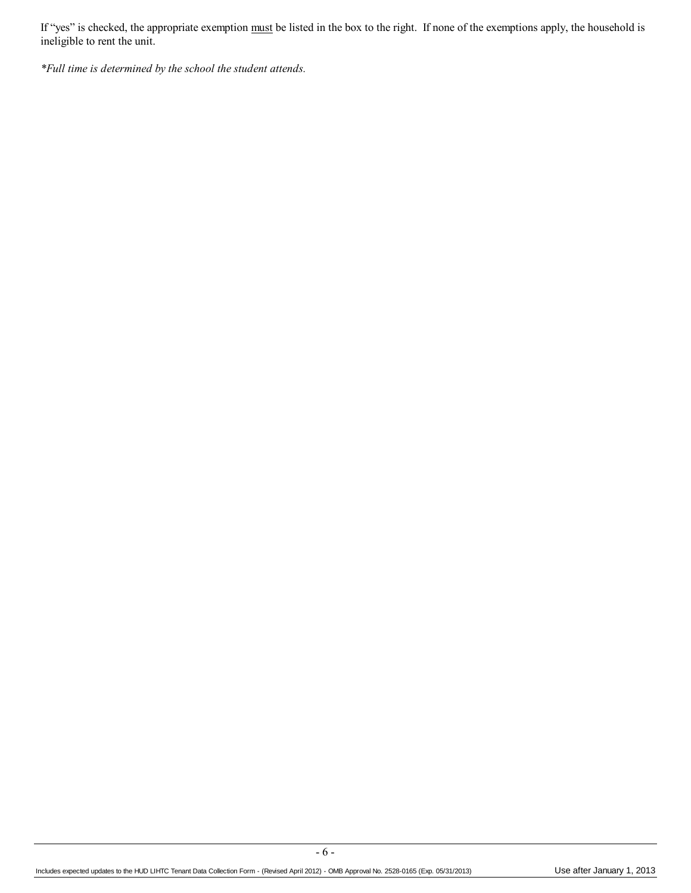If "yes" is checked, the appropriate exemption must be listed in the box to the right. If none of the exemptions apply, the household is ineligible to rent the unit.

*\*Full time is determined by the school the student attends.* 

- 6 -